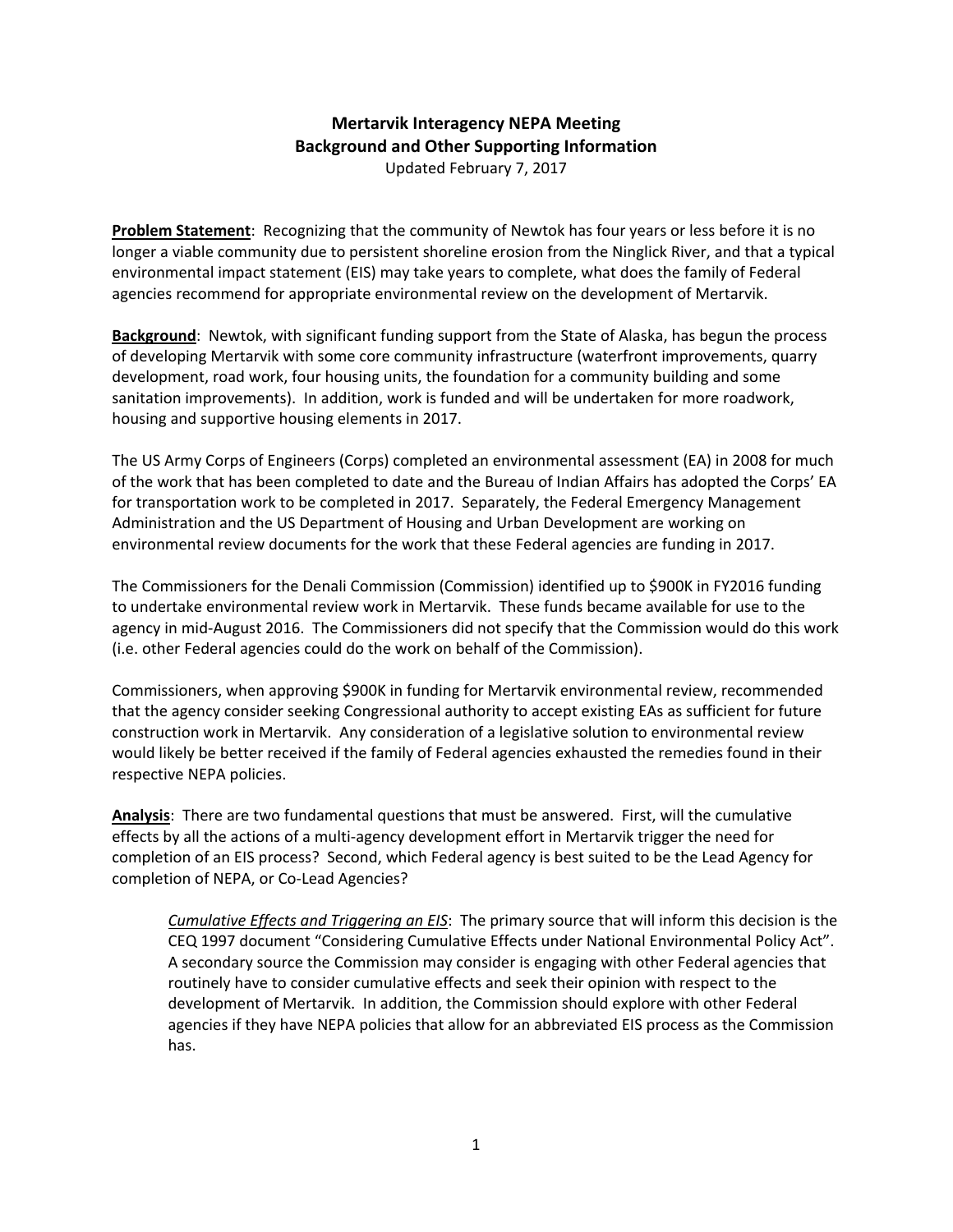## **Mertarvik Interagency NEPA Meeting Background and Other Supporting Information**

Updated February 7, 2017

**Problem Statement**: Recognizing that the community of Newtok has four years or less before it is no longer a viable community due to persistent shoreline erosion from the Ninglick River, and that a typical environmental impact statement (EIS) may take years to complete, what does the family of Federal agencies recommend for appropriate environmental review on the development of Mertarvik.

**Background**: Newtok, with significant funding support from the State of Alaska, has begun the process of developing Mertarvik with some core community infrastructure (waterfront improvements, quarry development, road work, four housing units, the foundation for a community building and some sanitation improvements). In addition, work is funded and will be undertaken for more roadwork, housing and supportive housing elements in 2017.

The US Army Corps of Engineers (Corps) completed an environmental assessment (EA) in 2008 for much of the work that has been completed to date and the Bureau of Indian Affairs has adopted the Corps' EA for transportation work to be completed in 2017. Separately, the Federal Emergency Management Administration and the US Department of Housing and Urban Development are working on environmental review documents for the work that these Federal agencies are funding in 2017.

The Commissioners for the Denali Commission (Commission) identified up to \$900K in FY2016 funding to undertake environmental review work in Mertarvik. These funds became available for use to the agency in mid-August 2016. The Commissioners did not specify that the Commission would do this work (i.e. other Federal agencies could do the work on behalf of the Commission).

Commissioners, when approving \$900K in funding for Mertarvik environmental review, recommended that the agency consider seeking Congressional authority to accept existing EAs as sufficient for future construction work in Mertarvik. Any consideration of a legislative solution to environmental review would likely be better received if the family of Federal agencies exhausted the remedies found in their respective NEPA policies.

**Analysis**: There are two fundamental questions that must be answered. First, will the cumulative effects by all the actions of a multi‐agency development effort in Mertarvik trigger the need for completion of an EIS process? Second, which Federal agency is best suited to be the Lead Agency for completion of NEPA, or Co‐Lead Agencies?

*Cumulative Effects and Triggering an EIS*: The primary source that will inform this decision is the CEQ 1997 document "Considering Cumulative Effects under National Environmental Policy Act". A secondary source the Commission may consider is engaging with other Federal agencies that routinely have to consider cumulative effects and seek their opinion with respect to the development of Mertarvik. In addition, the Commission should explore with other Federal agencies if they have NEPA policies that allow for an abbreviated EIS process as the Commission has.